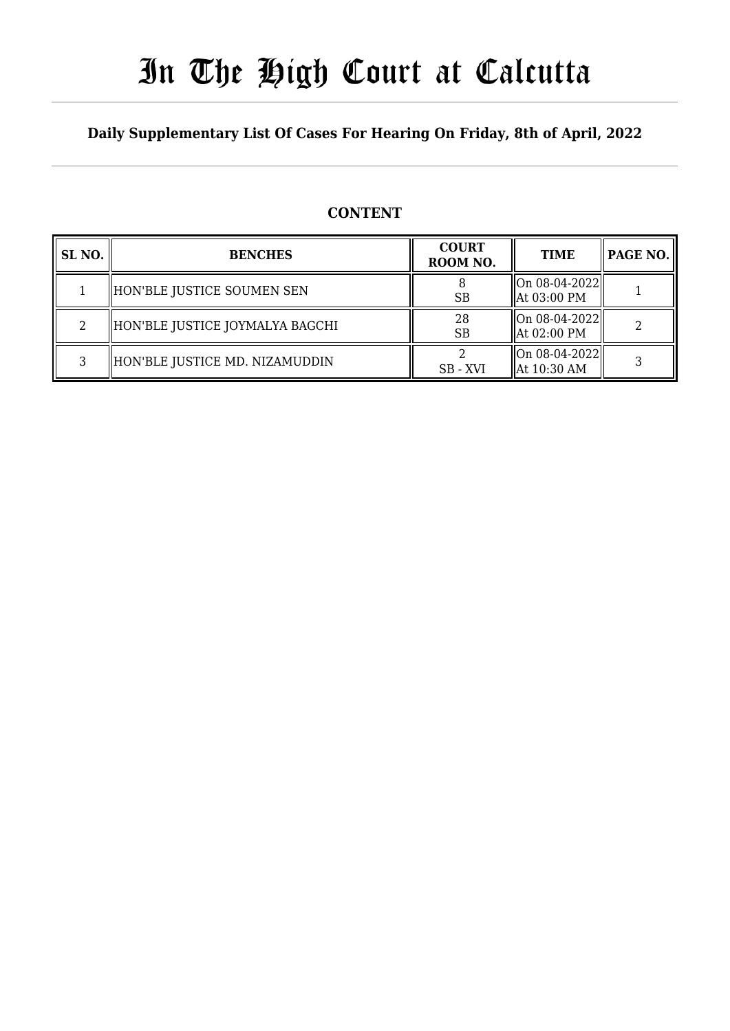# In The High Court at Calcutta

### **Daily Supplementary List Of Cases For Hearing On Friday, 8th of April, 2022**

### **CONTENT**

| SL <sub>NO</sub> . | <b>BENCHES</b>                  | <b>COURT</b><br>ROOM NO. | <b>TIME</b>                                        | PAGE NO. |
|--------------------|---------------------------------|--------------------------|----------------------------------------------------|----------|
|                    | HON'BLE JUSTICE SOUMEN SEN      | <b>SB</b>                | $\ $ On 08-04-2022 $\ $<br>$\parallel$ At 03:00 PM |          |
| 2                  | HON'BLE JUSTICE JOYMALYA BAGCHI | 28<br><b>SB</b>          | $\ $ On 08-04-2022 $\ $<br>$\parallel$ At 02:00 PM |          |
| 3                  | HON'BLE JUSTICE MD. NIZAMUDDIN  | SB-XVI                   | $\ $ On 08-04-2022 $\ $<br>$\parallel$ At 10:30 AM |          |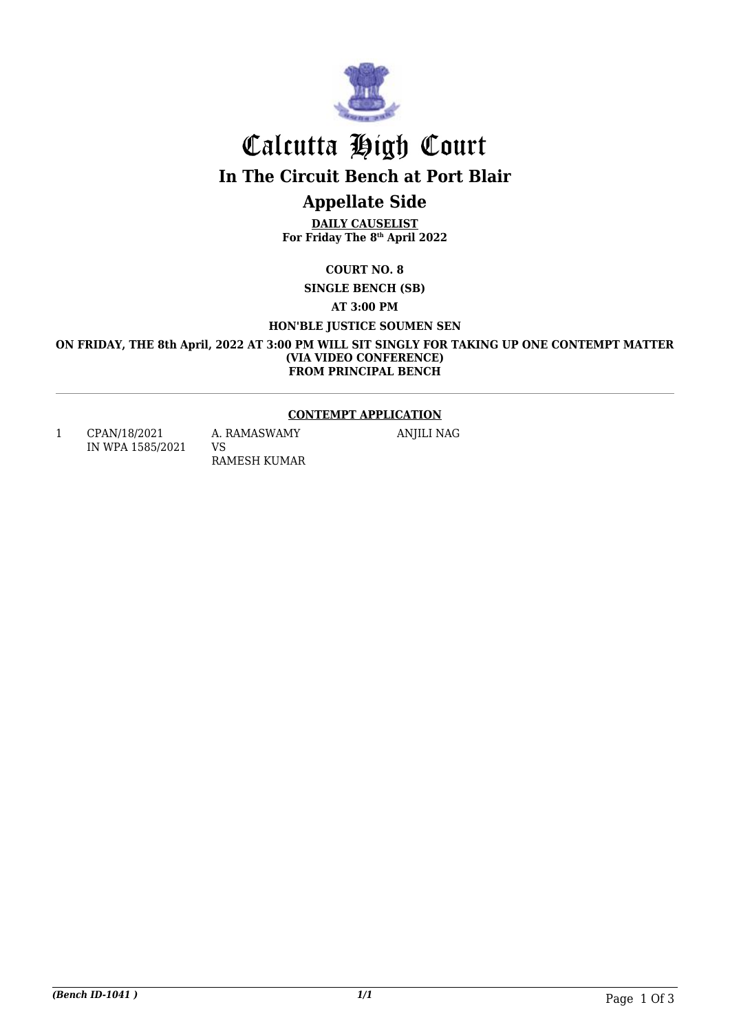

# Calcutta High Court

**In The Circuit Bench at Port Blair**

## **Appellate Side**

**DAILY CAUSELIST For Friday The 8th April 2022**

**COURT NO. 8**

**SINGLE BENCH (SB)**

#### **AT 3:00 PM**

**HON'BLE JUSTICE SOUMEN SEN**

**ON FRIDAY, THE 8th April, 2022 AT 3:00 PM WILL SIT SINGLY FOR TAKING UP ONE CONTEMPT MATTER (VIA VIDEO CONFERENCE) FROM PRINCIPAL BENCH**

#### **CONTEMPT APPLICATION**

1 CPAN/18/2021 IN WPA 1585/2021 VS

A. RAMASWAMY RAMESH KUMAR ANJILI NAG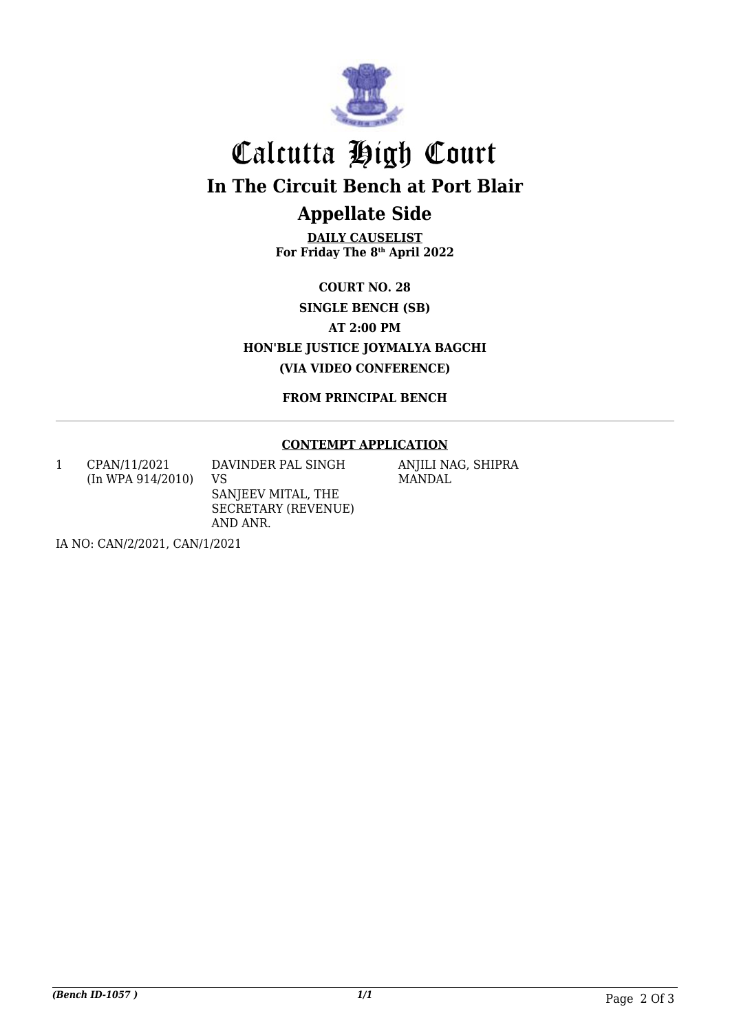

## Calcutta High Court **In The Circuit Bench at Port Blair Appellate Side**

**DAILY CAUSELIST For Friday The 8th April 2022**

**COURT NO. 28 SINGLE BENCH (SB) AT 2:00 PM HON'BLE JUSTICE JOYMALYA BAGCHI (VIA VIDEO CONFERENCE)**

**FROM PRINCIPAL BENCH**

#### **CONTEMPT APPLICATION**

1 CPAN/11/2021 (In WPA 914/2010) DAVINDER PAL SINGH VS SANJEEV MITAL, THE SECRETARY (REVENUE) AND ANR.

ANJILI NAG, SHIPRA MANDAL

IA NO: CAN/2/2021, CAN/1/2021